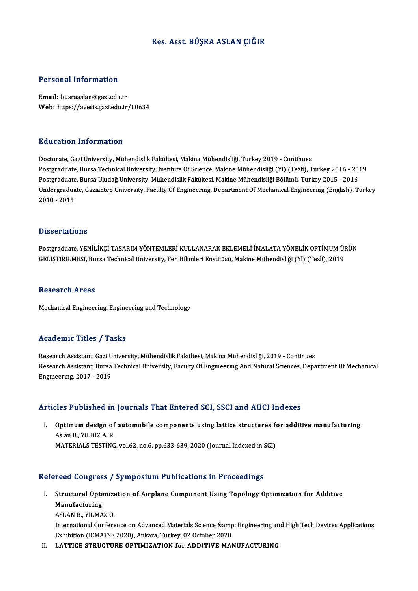## Res. Asst. BÜŞRA ASLAN ÇIĞIR

## Personal Information

Email: busraaslan@gazi.edu.tr Web: https://avesis.gazi.edu.tr/10634

## Education Information

Doctorate, Gazi University, Mühendislik Fakültesi, Makina Mühendisliği, Turkey 2019 - Continues Postgraduate, Bursa Technical University, Institute Of Science, Makine Mühendisliği (Yl) (Tezli), Turkey 2016 - 2019 Doctorate, Gazi University, Mühendislik Fakültesi, Makina Mühendisliği, Turkey 2019 - Continues<br>Postgraduate, Bursa Technical University, Institute Of Science, Makine Mühendisliği (Yl) (Tezli), Turkey 2016 - 201<br>Postgradua Undergraduate, Gaziantep University, Faculty Of Engıneering, Department Of Mechanical Engineering (English), Turkey<br>2010 - 2015 Postgraduate<br>Undergradua<br>2010 - 2015

### **Dissertations**

Dissertations<br>Postgraduate, YENİLİKÇİ TASARIM YÖNTEMLERİ KULLANARAK EKLEMELİ İMALATA YÖNELİK OPTİMUM ÜRÜN<br>CELİSTİRİLMESİ, Bursa Tashnisal University, Esp Bilimleri Enstitüsü, Makine Mühandisliği (VI) (Tasli), 2019, B ISSOI tatroms<br>Postgraduate, YENİLİKÇİ TASARIM YÖNTEMLERİ KULLANARAK EKLEMELİ İMALATA YÖNELİK OPTİMUM ÜI<br>GELİŞTİRİLMESİ, Bursa Technical University, Fen Bilimleri Enstitüsü, Makine Mühendisliği (Yl) (Tezli), 2019 GELİŞTİRİLMESİ, Bursa Technical University, Fen Bilimleri Enstitüsü, Makine Mühendisliği (YI) (Tezli), 2019<br>Research Areas

Mechanical Engineering, Engineering and Technology

## Academic Titles / Tasks

Academic Titles / Tasks<br>Research Assistant, Gazi University, Mühendislik Fakültesi, Makina Mühendisliği, 2019 - Continues<br>Research Assistant, Burga Technical University, Faculty Of Engunearung And Natural Sciences, Deng Research Assistant, Bursa Technical University, Faculty Of Engıneering And Natural Sciences, Department Of Mechanical<br>Engineering, 2017 - 2019 Research Assistant, Gazi U<br>Research Assistant, Bursa<br>Engıneering, 2017 - 2019

## Articles Published in Journals That Entered SCI, SSCI and AHCI Indexes

rticles Published in Journals That Entered SCI, SSCI and AHCI Indexes<br>I. Optimum design of automobile components using lattice structures for additive manufacturing<br>Aslan B, YU DIZA B MOD T UDIRENCU III<br>Optimum design of<br>Aslan B., YILDIZ A. R.<br>MATERIALS TESTING Optimum design of automobile components using lattice structures f<br>Aslan B., YILDIZ A. R.<br>MATERIALS TESTING, vol.62, no.6, pp.633-639, 2020 (Journal Indexed in SCI)

# MATERIALS TESTING, vol.62, no.6, pp.633-639, 2020 (Journal Indexed in SCI)<br>Refereed Congress / Symposium Publications in Proceedings

efereed Congress / Symposium Publications in Proceedings<br>I. Structural Optimization of Airplane Component Using Topology Optimization for Additive<br>Manufacturing Structural Opti:<br>Structural Opti:<br>Manufacturing<br>ASLAN P. VII MA Structural Optimiza<br>Manufacturing<br>ASLAN B., YILMAZ O.<br>International Confore Manufacturing<br>ASLAN B., YILMAZ O.<br>International Conference on Advanced Materials Science &amp; Engineering and High Tech Devices Applications;<br>Frhihition (JCMATSE 2020), Ankana Turkay, 02 October 2020

ASLAN B., YILMAZ O.<br>International Conference on Advanced Materials Science &amp<br>Exhibition (ICMATSE 2020), Ankara, Turkey, 02 October 2020<br>LATTICE STRUCTURE ORTIMIZATION for ADDITIVE MAN International Conference on Advanced Materials Science & Engineering an<br>Exhibition (ICMATSE 2020), Ankara, Turkey, 02 October 2020<br>II. LATTICE STRUCTURE OPTIMIZATION for ADDITIVE MANUFACTURING